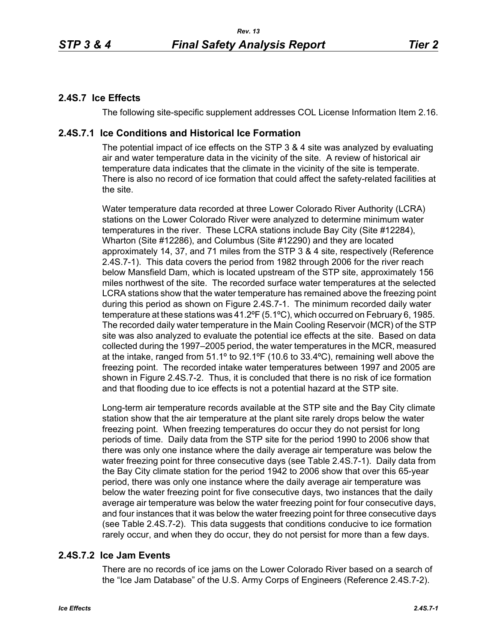# **2.4S.7 Ice Effects**

The following site-specific supplement addresses COL License Information Item 2.16.

# **2.4S.7.1 Ice Conditions and Historical Ice Formation**

The potential impact of ice effects on the STP 3 & 4 site was analyzed by evaluating air and water temperature data in the vicinity of the site. A review of historical air temperature data indicates that the climate in the vicinity of the site is temperate. There is also no record of ice formation that could affect the safety-related facilities at the site.

Water temperature data recorded at three Lower Colorado River Authority (LCRA) stations on the Lower Colorado River were analyzed to determine minimum water temperatures in the river. These LCRA stations include Bay City (Site #12284), Wharton (Site #12286), and Columbus (Site #12290) and they are located approximately 14, 37, and 71 miles from the STP 3 & 4 site, respectively (Reference 2.4S.7-1). This data covers the period from 1982 through 2006 for the river reach below Mansfield Dam, which is located upstream of the STP site, approximately 156 miles northwest of the site. The recorded surface water temperatures at the selected LCRA stations show that the water temperature has remained above the freezing point during this period as shown on Figure 2.4S.7-1. The minimum recorded daily water temperature at these stations was 41.2ºF (5.1ºC), which occurred on February 6, 1985. The recorded daily water temperature in the Main Cooling Reservoir (MCR) of the STP site was also analyzed to evaluate the potential ice effects at the site. Based on data collected during the 1997–2005 period, the water temperatures in the MCR, measured at the intake, ranged from 51.1º to 92.1ºF (10.6 to 33.4ºC), remaining well above the freezing point. The recorded intake water temperatures between 1997 and 2005 are shown in Figure 2.4S.7-2. Thus, it is concluded that there is no risk of ice formation and that flooding due to ice effects is not a potential hazard at the STP site.

Long-term air temperature records available at the STP site and the Bay City climate station show that the air temperature at the plant site rarely drops below the water freezing point. When freezing temperatures do occur they do not persist for long periods of time. Daily data from the STP site for the period 1990 to 2006 show that there was only one instance where the daily average air temperature was below the water freezing point for three consecutive days (see Table 2.4S.7-1). Daily data from the Bay City climate station for the period 1942 to 2006 show that over this 65-year period, there was only one instance where the daily average air temperature was below the water freezing point for five consecutive days, two instances that the daily average air temperature was below the water freezing point for four consecutive days, and four instances that it was below the water freezing point for three consecutive days (see Table 2.4S.7-2). This data suggests that conditions conducive to ice formation rarely occur, and when they do occur, they do not persist for more than a few days.

# **2.4S.7.2 Ice Jam Events**

There are no records of ice jams on the Lower Colorado River based on a search of the "Ice Jam Database" of the U.S. Army Corps of Engineers (Reference 2.4S.7-2).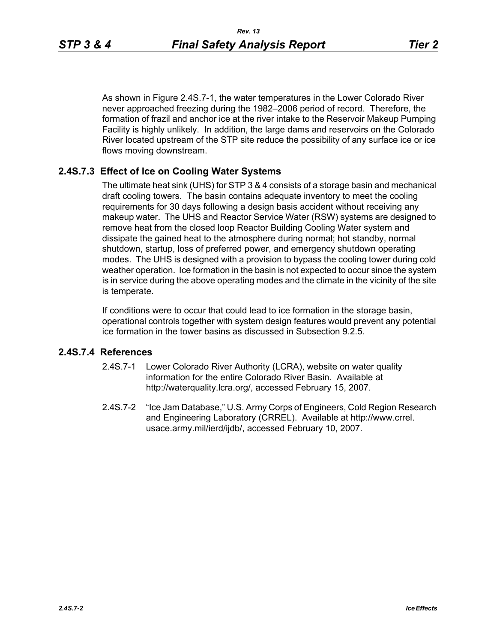As shown in Figure 2.4S.7-1, the water temperatures in the Lower Colorado River never approached freezing during the 1982–2006 period of record. Therefore, the formation of frazil and anchor ice at the river intake to the Reservoir Makeup Pumping Facility is highly unlikely. In addition, the large dams and reservoirs on the Colorado River located upstream of the STP site reduce the possibility of any surface ice or ice flows moving downstream.

## **2.4S.7.3 Effect of Ice on Cooling Water Systems**

The ultimate heat sink (UHS) for STP 3 & 4 consists of a storage basin and mechanical draft cooling towers. The basin contains adequate inventory to meet the cooling requirements for 30 days following a design basis accident without receiving any makeup water. The UHS and Reactor Service Water (RSW) systems are designed to remove heat from the closed loop Reactor Building Cooling Water system and dissipate the gained heat to the atmosphere during normal; hot standby, normal shutdown, startup, loss of preferred power, and emergency shutdown operating modes. The UHS is designed with a provision to bypass the cooling tower during cold weather operation. Ice formation in the basin is not expected to occur since the system is in service during the above operating modes and the climate in the vicinity of the site is temperate.

If conditions were to occur that could lead to ice formation in the storage basin, operational controls together with system design features would prevent any potential ice formation in the tower basins as discussed in Subsection 9.2.5.

## **2.4S.7.4 References**

- 2.4S.7-1 Lower Colorado River Authority (LCRA), website on water quality information for the entire Colorado River Basin. Available at http://waterquality.lcra.org/, accessed February 15, 2007.
- 2.4S.7-2 "Ice Jam Database," U.S. Army Corps of Engineers, Cold Region Research and Engineering Laboratory (CRREL). Available at http://www.crrel. usace.army.mil/ierd/ijdb/, accessed February 10, 2007.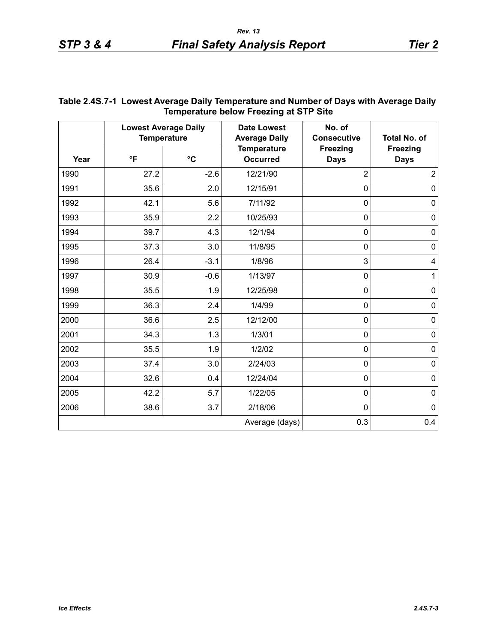| <b>IBILIDETATULE DEIUW LIBEZING AL SILE SILE</b> |                                                   |                 |                                            |                                |                                |  |
|--------------------------------------------------|---------------------------------------------------|-----------------|--------------------------------------------|--------------------------------|--------------------------------|--|
|                                                  | <b>Lowest Average Daily</b><br><b>Temperature</b> |                 | <b>Date Lowest</b><br><b>Average Daily</b> | No. of<br><b>Consecutive</b>   | <b>Total No. of</b>            |  |
| Year                                             | $\mathsf{P}$                                      | $\rm ^{\circ}C$ | <b>Temperature</b><br><b>Occurred</b>      | <b>Freezing</b><br><b>Days</b> | <b>Freezing</b><br><b>Days</b> |  |
| 1990                                             | 27.2                                              | $-2.6$          | 12/21/90                                   | $\overline{2}$                 | $\overline{2}$                 |  |
| 1991                                             | 35.6                                              | 2.0             | 12/15/91                                   | $\mathbf 0$                    | $\mathbf 0$                    |  |
| 1992                                             | 42.1                                              | 5.6             | 7/11/92                                    | $\mathbf 0$                    | $\mathbf 0$                    |  |
| 1993                                             | 35.9                                              | 2.2             | 10/25/93                                   | $\mathbf 0$                    | $\pmb{0}$                      |  |
| 1994                                             | 39.7                                              | 4.3             | 12/1/94                                    | $\mathbf 0$                    | $\mathbf 0$                    |  |
| 1995                                             | 37.3                                              | 3.0             | 11/8/95                                    | $\mathbf 0$                    | $\pmb{0}$                      |  |
| 1996                                             | 26.4                                              | $-3.1$          | 1/8/96                                     | 3                              | $\overline{\mathbf{4}}$        |  |
| 1997                                             | 30.9                                              | $-0.6$          | 1/13/97                                    | $\mathbf 0$                    | 1                              |  |
| 1998                                             | 35.5                                              | 1.9             | 12/25/98                                   | $\mathbf 0$                    | $\pmb{0}$                      |  |
| 1999                                             | 36.3                                              | 2.4             | 1/4/99                                     | $\mathbf 0$                    | $\mathbf 0$                    |  |
| 2000                                             | 36.6                                              | 2.5             | 12/12/00                                   | $\mathbf 0$                    | $\mathbf 0$                    |  |
| 2001                                             | 34.3                                              | 1.3             | 1/3/01                                     | $\mathbf 0$                    | $\pmb{0}$                      |  |
| 2002                                             | 35.5                                              | 1.9             | 1/2/02                                     | $\mathbf 0$                    | $\pmb{0}$                      |  |
| 2003                                             | 37.4                                              | 3.0             | 2/24/03                                    | $\mathbf 0$                    | $\mathbf 0$                    |  |
| 2004                                             | 32.6                                              | 0.4             | 12/24/04                                   | $\mathbf 0$                    | $\mathbf 0$                    |  |
| 2005                                             | 42.2                                              | 5.7             | 1/22/05                                    | $\mathbf 0$                    | $\mathbf 0$                    |  |
| 2006                                             | 38.6                                              | 3.7             | 2/18/06                                    | $\mathbf 0$                    | $\mathbf 0$                    |  |
|                                                  |                                                   |                 | Average (days)                             | 0.3                            | 0.4                            |  |

#### **Table 2.4S.7-1 Lowest Average Daily Temperature and Number of Days with Average Daily Temperature below Freezing at STP Site**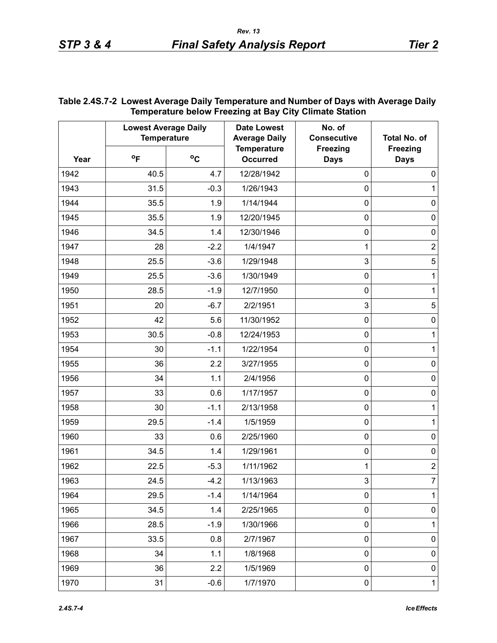| Year | <b>Lowest Average Daily</b><br><b>Temperature</b> |        | <b>Date Lowest</b><br><b>Average Daily</b> | No. of<br><b>Consecutive</b> | Total No. of                   |
|------|---------------------------------------------------|--------|--------------------------------------------|------------------------------|--------------------------------|
|      | $^{\circ}$ F                                      | °C     | <b>Temperature</b><br><b>Occurred</b>      | Freezing<br><b>Days</b>      | <b>Freezing</b><br><b>Days</b> |
| 1942 | 40.5                                              | 4.7    | 12/28/1942                                 | $\mathbf 0$                  | 0                              |
| 1943 | 31.5                                              | $-0.3$ | 1/26/1943                                  | $\pmb{0}$                    | 1                              |
| 1944 | 35.5                                              | 1.9    | 1/14/1944                                  | $\pmb{0}$                    | 0                              |
| 1945 | 35.5                                              | 1.9    | 12/20/1945                                 | $\pmb{0}$                    | $\mathbf 0$                    |
| 1946 | 34.5                                              | 1.4    | 12/30/1946                                 | 0                            | 0                              |
| 1947 | 28                                                | $-2.2$ | 1/4/1947                                   | 1                            | $\overline{2}$                 |
| 1948 | 25.5                                              | $-3.6$ | 1/29/1948                                  | 3                            | 5                              |
| 1949 | 25.5                                              | $-3.6$ | 1/30/1949                                  | $\pmb{0}$                    | 1                              |
| 1950 | 28.5                                              | $-1.9$ | 12/7/1950                                  | 0                            | 1                              |
| 1951 | 20                                                | $-6.7$ | 2/2/1951                                   | 3                            | 5                              |
| 1952 | 42                                                | 5.6    | 11/30/1952                                 | 0                            | 0                              |
| 1953 | 30.5                                              | $-0.8$ | 12/24/1953                                 | $\pmb{0}$                    | 1                              |
| 1954 | 30                                                | $-1.1$ | 1/22/1954                                  | 0                            | 1                              |
| 1955 | 36                                                | 2.2    | 3/27/1955                                  | $\pmb{0}$                    | $\mathbf 0$                    |
| 1956 | 34                                                | 1.1    | 2/4/1956                                   | $\pmb{0}$                    | 0                              |
| 1957 | 33                                                | 0.6    | 1/17/1957                                  | $\pmb{0}$                    | $\mathsf{O}\xspace$            |
| 1958 | 30                                                | $-1.1$ | 2/13/1958                                  | $\pmb{0}$                    | 1                              |
| 1959 | 29.5                                              | $-1.4$ | 1/5/1959                                   | $\pmb{0}$                    | $\mathbf{1}$                   |
| 1960 | 33                                                | 0.6    | 2/25/1960                                  | $\mathbf 0$                  | $\mathsf{O}\xspace$            |
| 1961 | 34.5                                              | 1.4    | 1/29/1961                                  | $\pmb{0}$                    | $\mathbf 0$                    |
| 1962 | 22.5                                              | $-5.3$ | 1/11/1962                                  | 1                            | $\overline{2}$                 |
| 1963 | 24.5                                              | $-4.2$ | 1/13/1963                                  | 3                            | 7                              |
| 1964 | 29.5                                              | $-1.4$ | 1/14/1964                                  | 0                            | $\mathbf{1}$                   |
| 1965 | 34.5                                              | 1.4    | 2/25/1965                                  | 0                            | 0                              |
| 1966 | 28.5                                              | $-1.9$ | 1/30/1966                                  | 0                            | $\mathbf{1}$                   |
| 1967 | 33.5                                              | 0.8    | 2/7/1967                                   | 0                            | 0                              |
| 1968 | 34                                                | 1.1    | 1/8/1968                                   | 0                            | 0                              |
| 1969 | 36                                                | 2.2    | 1/5/1969                                   | 0                            | 0                              |
| 1970 | 31                                                | $-0.6$ | 1/7/1970                                   | $\pmb{0}$                    | $\mathbf 1$                    |

### **Table 2.4S.7-2 Lowest Average Daily Temperature and Number of Days with Average Daily Temperature below Freezing at Bay City Climate Station**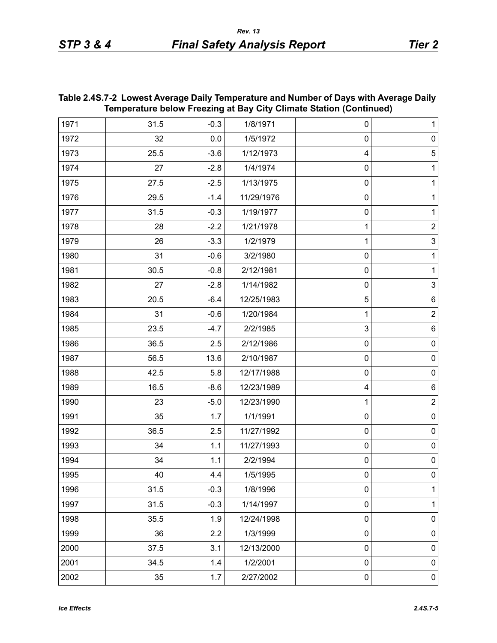| Temperature below Freezing at Bay City Climate Station (Continued) |      |        |            |                  |                           |
|--------------------------------------------------------------------|------|--------|------------|------------------|---------------------------|
| 1971                                                               | 31.5 | $-0.3$ | 1/8/1971   | 0                | $\mathbf{1}$              |
| 1972                                                               | 32   | 0.0    | 1/5/1972   | $\mathbf 0$      | $\pmb{0}$                 |
| 1973                                                               | 25.5 | $-3.6$ | 1/12/1973  | 4                | $\overline{5}$            |
| 1974                                                               | 27   | $-2.8$ | 1/4/1974   | 0                | $\mathbf{1}$              |
| 1975                                                               | 27.5 | $-2.5$ | 1/13/1975  | 0                | $\mathbf{1}$              |
| 1976                                                               | 29.5 | $-1.4$ | 11/29/1976 | $\boldsymbol{0}$ | $\mathbf{1}$              |
| 1977                                                               | 31.5 | $-0.3$ | 1/19/1977  | $\mathbf 0$      | $\mathbf{1}$              |
| 1978                                                               | 28   | $-2.2$ | 1/21/1978  | 1                | $\boldsymbol{2}$          |
| 1979                                                               | 26   | $-3.3$ | 1/2/1979   | 1                | $\mathsf 3$               |
| 1980                                                               | 31   | $-0.6$ | 3/2/1980   | $\mathbf 0$      | $\mathbf{1}$              |
| 1981                                                               | 30.5 | $-0.8$ | 2/12/1981  | $\mathbf 0$      | $\mathbf{1}$              |
| 1982                                                               | 27   | $-2.8$ | 1/14/1982  | $\mathbf 0$      | $\ensuremath{\mathsf{3}}$ |
| 1983                                                               | 20.5 | $-6.4$ | 12/25/1983 | 5                | $\,6$                     |
| 1984                                                               | 31   | $-0.6$ | 1/20/1984  | 1                | $\mathbf 2$               |
| 1985                                                               | 23.5 | $-4.7$ | 2/2/1985   | 3                | $\,6$                     |
| 1986                                                               | 36.5 | 2.5    | 2/12/1986  | 0                | $\pmb{0}$                 |
| 1987                                                               | 56.5 | 13.6   | 2/10/1987  | $\mathbf 0$      | $\pmb{0}$                 |
| 1988                                                               | 42.5 | 5.8    | 12/17/1988 | $\pmb{0}$        | $\pmb{0}$                 |
| 1989                                                               | 16.5 | $-8.6$ | 12/23/1989 | 4                | $\,6$                     |
| 1990                                                               | 23   | $-5.0$ | 12/23/1990 | 1                | $\boldsymbol{2}$          |
| 1991                                                               | 35   | 1.7    | 1/1/1991   | $\boldsymbol{0}$ | $\pmb{0}$                 |
| 1992                                                               | 36.5 | 2.5    | 11/27/1992 | $\boldsymbol{0}$ | $\pmb{0}$                 |
| 1993                                                               | 34   | 1.1    | 11/27/1993 | $\boldsymbol{0}$ | $\pmb{0}$                 |
| 1994                                                               | 34   | 1.1    | 2/2/1994   | 0                | $\pmb{0}$                 |
| 1995                                                               | 40   | 4.4    | 1/5/1995   | 0                | 0                         |
| 1996                                                               | 31.5 | $-0.3$ | 1/8/1996   | 0                | $\mathbf{1}$              |
| 1997                                                               | 31.5 | $-0.3$ | 1/14/1997  | $\mathbf 0$      | $\mathbf{1}$              |
| 1998                                                               | 35.5 | 1.9    | 12/24/1998 | $\mathbf 0$      | $\pmb{0}$                 |
| 1999                                                               | 36   | 2.2    | 1/3/1999   | $\mathbf 0$      | $\pmb{0}$                 |
| 2000                                                               | 37.5 | 3.1    | 12/13/2000 | $\mathbf 0$      | $\pmb{0}$                 |
| 2001                                                               | 34.5 | 1.4    | 1/2/2001   | $\mathbf 0$      | $\pmb{0}$                 |
| 2002                                                               | 35   | 1.7    | 2/27/2002  | $\pmb{0}$        | $\pmb{0}$                 |

### **Table 2.4S.7-2 Lowest Average Daily Temperature and Number of Days with Average Daily Temperature below Freezing at Bay City Climate Station (Continued)**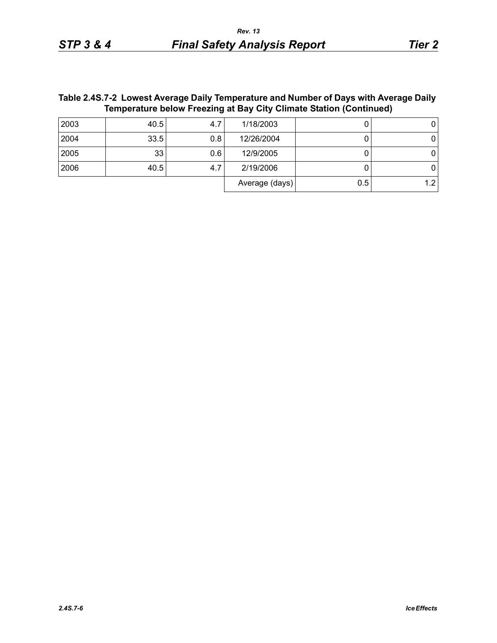## **Table 2.4S.7-2 Lowest Average Daily Temperature and Number of Days with Average Daily Temperature below Freezing at Bay City Climate Station (Continued)**

| 2003 | 40.5 | 4.7 | 1/18/2003      |     |  |
|------|------|-----|----------------|-----|--|
| 2004 | 33.5 | 0.8 | 12/26/2004     |     |  |
| 2005 | 33   | 0.6 | 12/9/2005      |     |  |
| 2006 | 40.5 | 4., | 2/19/2006      |     |  |
|      |      |     | Average (days) | 0.5 |  |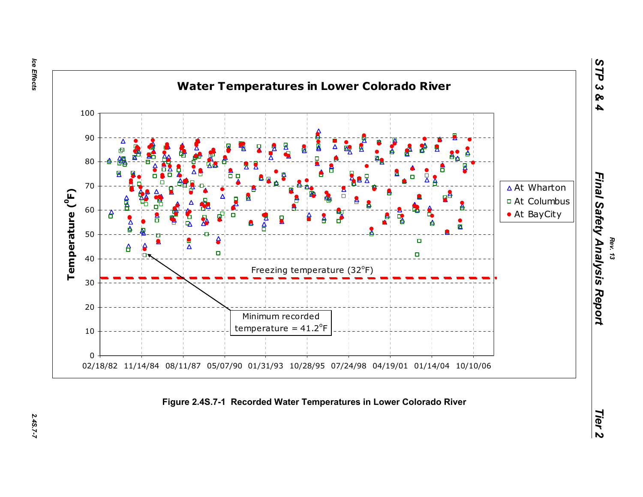